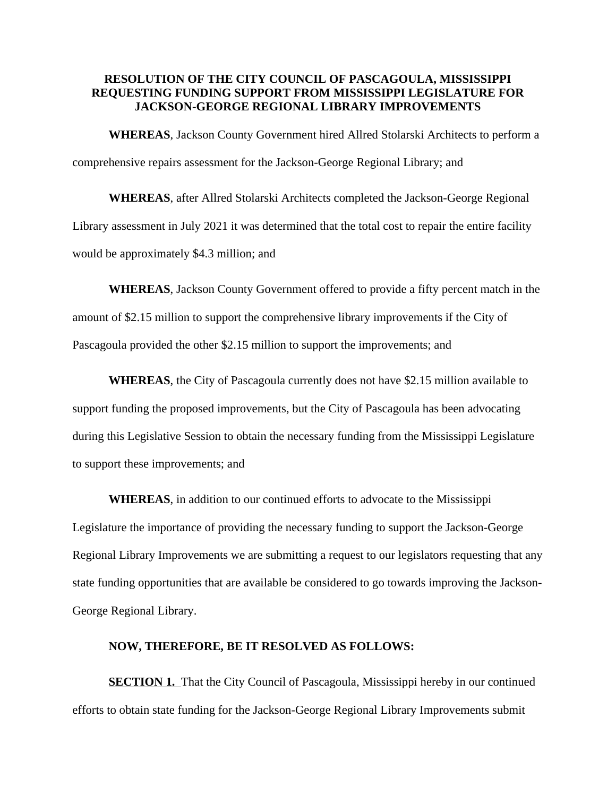## **RESOLUTION OF THE CITY COUNCIL OF PASCAGOULA, MISSISSIPPI REQUESTING FUNDING SUPPORT FROM MISSISSIPPI LEGISLATURE FOR JACKSON-GEORGE REGIONAL LIBRARY IMPROVEMENTS**

**WHEREAS**, Jackson County Government hired Allred Stolarski Architects to perform a comprehensive repairs assessment for the Jackson-George Regional Library; and

**WHEREAS**, after Allred Stolarski Architects completed the Jackson-George Regional Library assessment in July 2021 it was determined that the total cost to repair the entire facility would be approximately \$4.3 million; and

**WHEREAS**, Jackson County Government offered to provide a fifty percent match in the amount of \$2.15 million to support the comprehensive library improvements if the City of Pascagoula provided the other \$2.15 million to support the improvements; and

**WHEREAS**, the City of Pascagoula currently does not have \$2.15 million available to support funding the proposed improvements, but the City of Pascagoula has been advocating during this Legislative Session to obtain the necessary funding from the Mississippi Legislature to support these improvements; and

**WHEREAS**, in addition to our continued efforts to advocate to the Mississippi Legislature the importance of providing the necessary funding to support the Jackson-George Regional Library Improvements we are submitting a request to our legislators requesting that any state funding opportunities that are available be considered to go towards improving the Jackson-George Regional Library.

## **NOW, THEREFORE, BE IT RESOLVED AS FOLLOWS:**

**SECTION 1.** That the City Council of Pascagoula, Mississippi hereby in our continued efforts to obtain state funding for the Jackson-George Regional Library Improvements submit